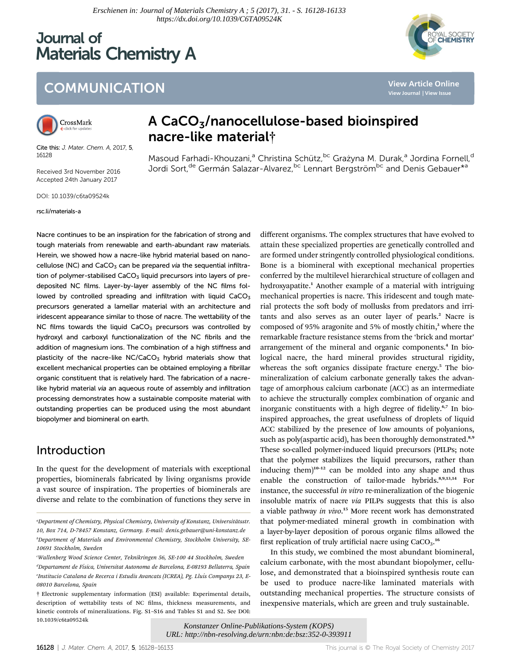# Journal of Materials Chemistry A



**[View Article Online](http://dx.doi.org/10.1039/c6ta09524k) [View Journal](http://pubs.rsc.org/en/journals/journal/TA) [| View Issue](http://pubs.rsc.org/en/journals/journal/TA?issueid=TA005031)**

## **COMMUNICATION**



Cite this: J. Mater. Chem. A. 2017, 5, 16128

Received 3rd November 2016 Accepted 24th January 2017

DOI: 10.1039/c6ta09524k

#### rsc.li/materials-a

### A CaCO3/nanocellulose-based bioinspired nacre-like material†

Masoud Farhadi-Khouzani,<sup>a</sup> Christina Schütz,<sup>bc</sup> Grażyna M. Durak,<sup>a</sup> Jordina Fornell,<sup>d</sup> Jordi Sort,<sup>de</sup> Germán Salazar-Alvarez,<sup>bc</sup> Lennart Bergström<sup>bc</sup> and Denis Gebauer<sup>\*a</sup>

Nacre continues to be an inspiration for the fabrication of strong and tough materials from renewable and earth-abundant raw materials. Herein, we showed how a nacre-like hybrid material based on nanocellulose (NC) and  $CaCO<sub>3</sub>$  can be prepared via the sequential infiltration of polymer-stabilised  $CaCO<sub>3</sub>$  liquid precursors into layers of predeposited NC films. Layer-by-layer assembly of the NC films followed by controlled spreading and infiltration with liquid  $CaCO<sub>3</sub>$ precursors generated a lamellar material with an architecture and iridescent appearance similar to those of nacre. The wettability of the NC films towards the liquid  $CaCO<sub>3</sub>$  precursors was controlled by hydroxyl and carboxyl functionalization of the NC fibrils and the addition of magnesium ions. The combination of a high stiffness and plasticity of the nacre-like  $NC/CaCO<sub>3</sub>$  hybrid materials show that excellent mechanical properties can be obtained employing a fibrillar organic constituent that is relatively hard. The fabrication of a nacrelike hybrid material via an aqueous route of assembly and infiltration processing demonstrates how a sustainable composite material with outstanding properties can be produced using the most abundant biopolymer and biomineral on earth.

#### Introduction

In the quest for the development of materials with exceptional properties, biominerals fabricated by living organisms provide a vast source of inspiration. The properties of biominerals are diverse and relate to the combination of functions they serve in

c Wallenberg Wood Science Center, Teknikringen 56, SE-100 44 Stockholm, Sweden

different organisms. The complex structures that have evolved to attain these specialized properties are genetically controlled and are formed under stringently controlled physiological conditions. Bone is a biomineral with exceptional mechanical properties conferred by the multilevel hierarchical structure of collagen and hydroxyapatite.<sup>1</sup> Another example of a material with intriguing mechanical properties is nacre. This iridescent and tough material protects the soft body of mollusks from predators and irritants and also serves as an outer layer of pearls.<sup>2</sup> Nacre is composed of 95% aragonite and 5% of mostly chitin,<sup>3</sup> where the remarkable fracture resistance stems from the 'brick and mortar' arrangement of the mineral and organic components.<sup>4</sup> In biological nacre, the hard mineral provides structural rigidity, whereas the soft organics dissipate fracture energy.<sup>5</sup> The biomineralization of calcium carbonate generally takes the advantage of amorphous calcium carbonate (ACC) as an intermediate to achieve the structurally complex combination of organic and inorganic constituents with a high degree of fidelity.<sup>6,7</sup> In bioinspired approaches, the great usefulness of droplets of liquid ACC stabilized by the presence of low amounts of polyanions, such as poly(aspartic acid), has been thoroughly demonstrated.<sup>8,9</sup> These so-called polymer-induced liquid precursors (PILPs; note that the polymer stabilizes the liquid precursors, rather than inducing them $]^{10-12}$  can be molded into any shape and thus enable the construction of tailor-made hybrids.8,9,13,14 For instance, the successful in vitro re-mineralization of the biogenic insoluble matrix of nacre via PILPs suggests that this is also a viable pathway in vivo.<sup>15</sup> More recent work has demonstrated that polymer-mediated mineral growth in combination with a layer-by-layer deposition of porous organic films allowed the first replication of truly artificial nacre using  $CaCO<sub>3</sub>$ .<sup>16</sup>

In this study, we combined the most abundant biomineral, calcium carbonate, with the most abundant biopolymer, cellulose, and demonstrated that a bioinspired synthesis route can be used to produce nacre-like laminated materials with outstanding mechanical properties. The structure consists of inexpensive materials, which are green and truly sustainable.

*Konstanzer Online-Publikations-System (KOPS) URL: http://nbn-resolving.de/urn:nbn:de:bsz:352-0-393911*

<sup>&</sup>quot;Department of Chemistry, Physical Chemistry, University of Konstanz, Universitätsstr. 10, Box 714, D-78457 Konstanz, Germany. E-mail: denis.gebauer@uni-konstanz.de b Department of Materials and Environmental Chemistry, Stockholm University, SE-10691 Stockholm, Sweden

<sup>&</sup>lt;sup>a</sup>Departament de Física, Universitat Autonoma de Barcelona, E-08193 Bellaterra, Spain e Institucio Catalana de Recerca i Estudis Avancats (ICREA), Pg. Llu´ıs Companys 23, E-08010 Barcelona, Spain

<sup>†</sup> Electronic supplementary information (ESI) available: Experimental details, description of wettability tests of NC films, thickness measurements, and kinetic controls of mineralizations. Fig. S1–S16 and Tables S1 and S2. See DOI: 10.1039/c6ta09524k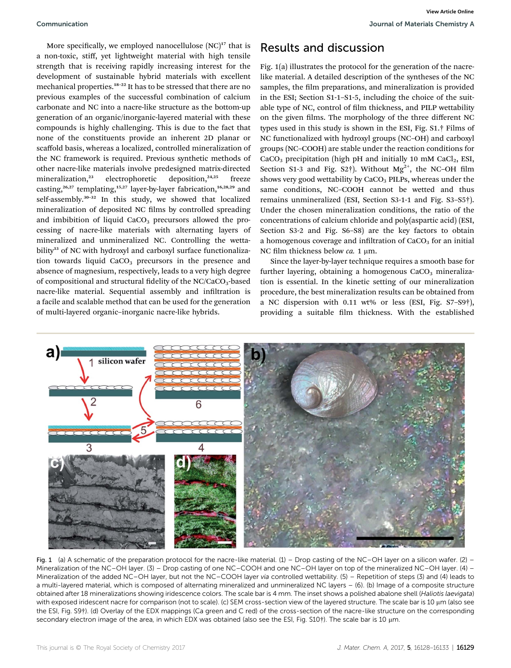Communication Journal of Materials Chemistry A **[View Article Online](http://dx.doi.org/10.1039/c6ta09524k)**

More specifically, we employed nanocellulose  $(NC)^{17}$  that is a non-toxic, stiff, yet lightweight material with high tensile strength that is receiving rapidly increasing interest for the development of sustainable hybrid materials with excellent mechanical properties.<sup>18–22</sup> It has to be stressed that there are no previous examples of the successful combination of calcium carbonate and NC into a nacre-like structure as the bottom-up generation of an organic/inorganic-layered material with these compounds is highly challenging. This is due to the fact that none of the constituents provide an inherent 2D planar or scaffold basis, whereas a localized, controlled mineralization of the NC framework is required. Previous synthetic methods of other nacre-like materials involve predesigned matrix-directed mineralization,<sup>23</sup> electrophoretic deposition,<sup>24,25</sup> freeze casting,<sup>26,27</sup> templating,<sup>15,27</sup> layer-by-layer fabrication,<sup>16,28,29</sup> and self-assembly.<sup>30-32</sup> In this study, we showed that localized mineralization of deposited NC films by controlled spreading and imbibition of liquid  $CaCO<sub>3</sub>$  precursors allowed the processing of nacre-like materials with alternating layers of mineralized and unmineralized NC. Controlling the wettability<sup>33</sup> of NC with hydroxyl and carboxyl surface functionalization towards liquid  $CaCO<sub>3</sub>$  precursors in the presence and absence of magnesium, respectively, leads to a very high degree of compositional and structural fidelity of the NC/CaCO<sub>3</sub>-based nacre-like material. Sequential assembly and infiltration is a facile and scalable method that can be used for the generation of multi-layered organic–inorganic nacre-like hybrids.

### Results and discussion

Fig. 1(a) illustrates the protocol for the generation of the nacrelike material. A detailed description of the syntheses of the NC samples, the film preparations, and mineralization is provided in the ESI; Section S1-1–S1-5, including the choice of the suitable type of NC, control of film thickness, and PILP wettability on the given films. The morphology of the three different NC types used in this study is shown in the ESI, Fig. S1.† Films of NC functionalized with hydroxyl groups (NC–OH) and carboxyl groups (NC–COOH) are stable under the reaction conditions for  $CaCO<sub>3</sub>$  precipitation (high pH and initially 10 mM CaCl<sub>2</sub>, ESI, Section S1-3 and Fig. S2 $\dagger$ ). Without Mg<sup>2+</sup>, the NC-OH film shows very good wettability by  $CaCO<sub>3</sub>$  PILPs, whereas under the same conditions, NC–COOH cannot be wetted and thus remains unmineralized (ESI, Section S3-1-1 and Fig. S3–S5†). Under the chosen mineralization conditions, the ratio of the concentrations of calcium chloride and poly(aspartic acid) (ESI, Section S3-2 and Fig. S6–S8) are the key factors to obtain a homogenous coverage and infiltration of  $CaCO<sub>3</sub>$  for an initial NC film thickness below  $ca$ . 1  $\mu$ m.

Since the layer-by-layer technique requires a smooth base for further layering, obtaining a homogenous  $CaCO<sub>3</sub>$  mineralization is essential. In the kinetic setting of our mineralization procedure, the best mineralization results can be obtained from a NC dispersion with 0.11 wt% or less (ESI, Fig. S7–S9†), providing a suitable film thickness. With the established



Fig. 1 (a) A schematic of the preparation protocol for the nacre-like material. (1) – Drop casting of the NC–OH layer on a silicon wafer. (2) – Mineralization of the NC–OH layer. (3) – Drop casting of one NC–COOH and one NC–OH layer on top of the mineralized NC–OH layer. (4) – Mineralization of the added NC–OH layer, but not the NC–COOH layer via controlled wettability. (5) – Repetition of steps (3) and (4) leads to a multi-layered material, which is composed of alternating mineralized and unmineralized NC layers – (6). (b) Image of a composite structure obtained after 18 mineralizations showing iridescence colors. The scale bar is 4 mm. The inset shows a polished abalone shell (Haliotis laevigata) with exposed iridescent nacre for comparison (not to scale). (c) SEM cross-section view of the layered structure. The scale bar is 10 µm (also see the ESI, Fig. S9†). (d) Overlay of the EDX mappings (Ca green and C red) of the cross-section of the nacre-like structure on the corresponding secondary electron image of the area, in which EDX was obtained (also see the ESI, Fig. S10†). The scale bar is 10  $\mu$ m.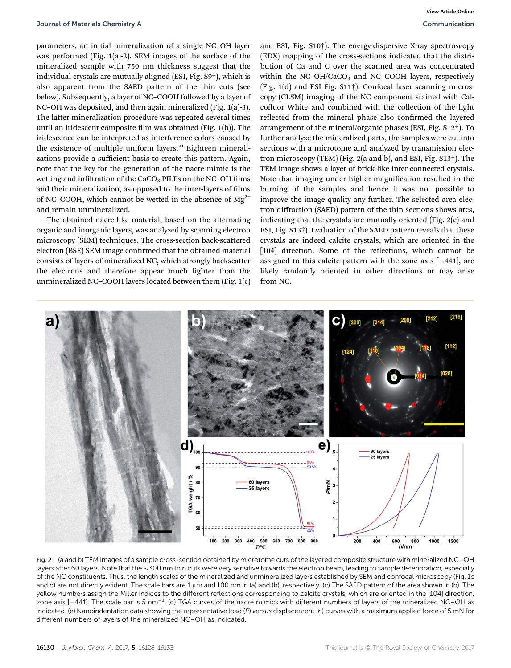parameters, an initial mineralization of a single NC–OH layer was performed (Fig. 1(a)-2). SEM images of the surface of the mineralized sample with 750 nm thickness suggest that the individual crystals are mutually aligned (ESI, Fig. S9†), which is also apparent from the SAED pattern of the thin cuts (see below). Subsequently, a layer of NC–COOH followed by a layer of NC–OH was deposited, and then again mineralized (Fig. 1(a)-3). The latter mineralization procedure was repeated several times until an iridescent composite film was obtained (Fig.  $1(b)$ ). The iridescence can be interpreted as interference colors caused by the existence of multiple uniform layers.<sup>34</sup> Eighteen mineralizations provide a sufficient basis to create this pattern. Again, note that the key for the generation of the nacre mimic is the wetting and infiltration of the  $CaCO<sub>3</sub>$  PILPs on the NC–OH films and their mineralization, as opposed to the inter-layers of films of NC–COOH, which cannot be wetted in the absence of  $Mg^{2+}$ and remain unmineralized.

The obtained nacre-like material, based on the alternating organic and inorganic layers, was analyzed by scanning electron microscopy (SEM) techniques. The cross-section back-scattered electron (BSE) SEM image confirmed that the obtained material consists of layers of mineralized NC, which strongly backscatter the electrons and therefore appear much lighter than the unmineralized NC–COOH layers located between them (Fig. 1(c)

and ESI, Fig. S10†). The energy-dispersive X-ray spectroscopy (EDX) mapping of the cross-sections indicated that the distribution of Ca and C over the scanned area was concentrated within the NC-OH/CaCO<sub>3</sub> and NC-COOH layers, respectively (Fig. 1(d) and ESI Fig. S11†). Confocal laser scanning microscopy (CLSM) imaging of the NC component stained with Calcofluor White and combined with the collection of the light reflected from the mineral phase also confirmed the layered arrangement of the mineral/organic phases (ESI, Fig. S12†). To further analyze the mineralized parts, the samples were cut into sections with a microtome and analyzed by transmission electron microscopy (TEM) (Fig. 2(a and b), and ESI, Fig. S13†). The TEM image shows a layer of brick-like inter-connected crystals. Note that imaging under higher magnification resulted in the burning of the samples and hence it was not possible to improve the image quality any further. The selected area electron diffraction (SAED) pattern of the thin sections shows arcs, indicating that the crystals are mutually oriented (Fig. 2(c) and ESI, Fig. S13†). Evaluation of the SAED pattern reveals that these crystals are indeed calcite crystals, which are oriented in the [104] direction. Some of the reflections, which cannot be assigned to this calcite pattern with the zone axis  $[-441]$ , are likely randomly oriented in other directions or may arise from NC.



Fig. 2 (a and b) TEM images of a sample cross-section obtained by microtome cuts of the layered composite structure with mineralized NC–OH layers after 60 layers. Note that the  $\sim$ 300 nm thin cuts were very sensitive towards the electron beam, leading to sample deterioration, especially of the NC constituents. Thus, the length scales of the mineralized and unmineralized layers established by SEM and confocal microscopy (Fig. 1c and d) are not directly evident. The scale bars are 1  $\mu$ m and 100 nm in (a) and (b), respectively. (c) The SAED pattern of the area shown in (b). The yellow numbers assign the Miller indices to the different reflections corresponding to calcite crystals, which are oriented in the [104] direction, zone axis [ $-441$ ]. The scale bar is 5 nm $^{-1}$ . (d) TGA curves of the nacre mimics with different numbers of layers of the mineralized NC–OH as indicated. (e) Nanoindentation data showing the representative load (P) versus displacement (h) curves with a maximum applied force of 5 mN for different numbers of layers of the mineralized NC–OH as indicated.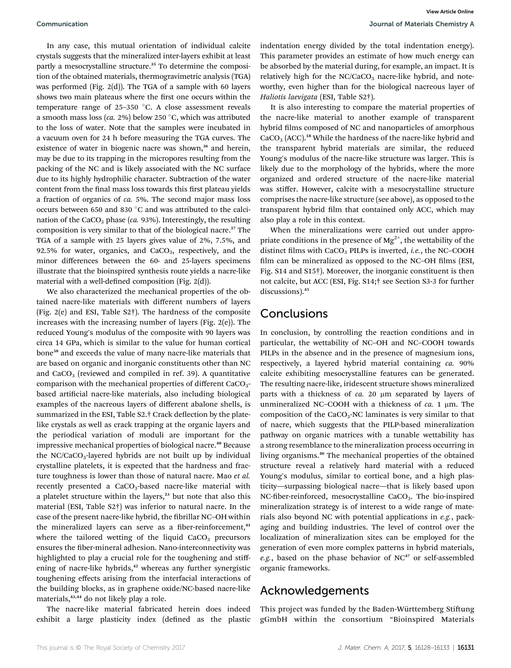In any case, this mutual orientation of individual calcite crystals suggests that the mineralized inter-layers exhibit at least partly a mesocrystalline structure.<sup>35</sup> To determine the composition of the obtained materials, thermogravimetric analysis (TGA) was performed (Fig. 2(d)). The TGA of a sample with 60 layers shows two main plateaus where the first one occurs within the temperature range of  $25-350$  °C. A close assessment reveals a smooth mass loss (ca. 2%) below 250 °C, which was attributed to the loss of water. Note that the samples were incubated in a vacuum oven for 24 h before measuring the TGA curves. The existence of water in biogenic nacre was shown,<sup>36</sup> and herein, may be due to its trapping in the micropores resulting from the packing of the NC and is likely associated with the NC surface due to its highly hydrophilic character. Subtraction of the water content from the final mass loss towards this first plateau yields a fraction of organics of ca. 5%. The second major mass loss occurs between 650 and 830  $^{\circ}$ C and was attributed to the calcination of the CaCO<sub>3</sub> phase (ca. 93%). Interestingly, the resulting composition is very similar to that of the biological nacre.<sup>37</sup> The TGA of a sample with 25 layers gives value of 2%, 7.5%, and 92.5% for water, organics, and  $CaCO<sub>3</sub>$ , respectively, and the minor differences between the 60- and 25-layers specimens illustrate that the bioinspired synthesis route yields a nacre-like material with a well-defined composition (Fig.  $2(d)$ ).

We also characterized the mechanical properties of the obtained nacre-like materials with different numbers of layers (Fig. 2(e) and ESI, Table S2†). The hardness of the composite increases with the increasing number of layers (Fig. 2(e)). The reduced Young's modulus of the composite with 90 layers was circa 14 GPa, which is similar to the value for human cortical bone<sup>38</sup> and exceeds the value of many nacre-like materials that are based on organic and inorganic constituents other than NC and  $CaCO<sub>3</sub>$  (reviewed and compiled in ref. 39). A quantitative comparison with the mechanical properties of different CaCO<sub>3</sub>based artificial nacre-like materials, also including biological examples of the nacreous layers of different abalone shells, is summarized in the ESI, Table S2.† Crack deflection by the platelike crystals as well as crack trapping at the organic layers and the periodical variation of moduli are important for the impressive mechanical properties of biological nacre.<sup>40</sup> Because the  $NC/CaCO<sub>3</sub>$ -layered hybrids are not built up by individual crystalline platelets, it is expected that the hardness and fracture toughness is lower than those of natural nacre. Mao et al. recently presented a CaCO<sub>3</sub>-based nacre-like material with a platelet structure within the layers, $23$  but note that also this material (ESI, Table S2†) was inferior to natural nacre. In the case of the present nacre-like hybrid, the fibrillar NC-OH within the mineralized layers can serve as a fiber-reinforcement,<sup>41</sup> where the tailored wetting of the liquid  $CaCO<sub>3</sub>$  precursors ensures the fiber-mineral adhesion. Nano-interconnectivity was highlighted to play a crucial role for the toughening and stiffening of nacre-like hybrids,<sup>42</sup> whereas any further synergistic toughening effects arising from the interfacial interactions of the building blocks, as in graphene oxide/NC-based nacre-like materials,<sup>43,44</sup> do not likely play a role.

The nacre-like material fabricated herein does indeed exhibit a large plasticity index (defined as the plastic

indentation energy divided by the total indentation energy). This parameter provides an estimate of how much energy can be absorbed by the material during, for example, an impact. It is relatively high for the  $NC/CaCO<sub>3</sub>$  nacre-like hybrid, and noteworthy, even higher than for the biological nacreous layer of Haliotis laevigata (ESI, Table S2†).

It is also interesting to compare the material properties of the nacre-like material to another example of transparent hybrid films composed of NC and nanoparticles of amorphous  $CaCO<sub>3</sub> (ACC).<sup>18</sup> While the hardness of the nacre-like hybrid and$ the transparent hybrid materials are similar, the reduced Young's modulus of the nacre-like structure was larger. This is likely due to the morphology of the hybrids, where the more organized and ordered structure of the nacre-like material was stiffer. However, calcite with a mesocrystalline structure comprises the nacre-like structure (see above), as opposed to the transparent hybrid film that contained only ACC, which may also play a role in this context.

When the mineralizations were carried out under appropriate conditions in the presence of  $Mg^{2+}$ , the wettability of the distinct films with  $CaCO<sub>3</sub>$  PILPs is inverted, *i.e.*, the NC–COOH film can be mineralized as opposed to the NC-OH films (ESI, Fig. S14 and S15†). Moreover, the inorganic constituent is then not calcite, but ACC (ESI, Fig. S14;† see Section S3-3 for further discussions).<sup>45</sup>

### **Conclusions**

In conclusion, by controlling the reaction conditions and in particular, the wettability of NC–OH and NC–COOH towards PILPs in the absence and in the presence of magnesium ions, respectively, a layered hybrid material containing ca. 90% calcite exhibiting mesocrystalline features can be generated. The resulting nacre-like, iridescent structure shows mineralized parts with a thickness of  $ca$ . 20  $\mu$ m separated by layers of unmineralized NC–COOH with a thickness of  $ca$ . 1  $\mu$ m. The composition of the  $CaCO<sub>3</sub>$ -NC laminates is very similar to that of nacre, which suggests that the PILP-based mineralization pathway on organic matrices with a tunable wettability has a strong resemblance to the mineralization process occurring in living organisms.<sup>46</sup> The mechanical properties of the obtained structure reveal a relatively hard material with a reduced Young's modulus, similar to cortical bone, and a high plasticity—surpassing biological nacre—that is likely based upon NC-fiber-reinforced, mesocrystalline CaCO<sub>3</sub>. The bio-inspired mineralization strategy is of interest to a wide range of materials also beyond NC with potential applications in e.g., packaging and building industries. The level of control over the localization of mineralization sites can be employed for the generation of even more complex patterns in hybrid materials, e.g., based on the phase behavior of  $NC^{47}$  or self-assembled organic frameworks.

#### Acknowledgements

This project was funded by the Baden-Württemberg Stiftung gGmbH within the consortium "Bioinspired Materials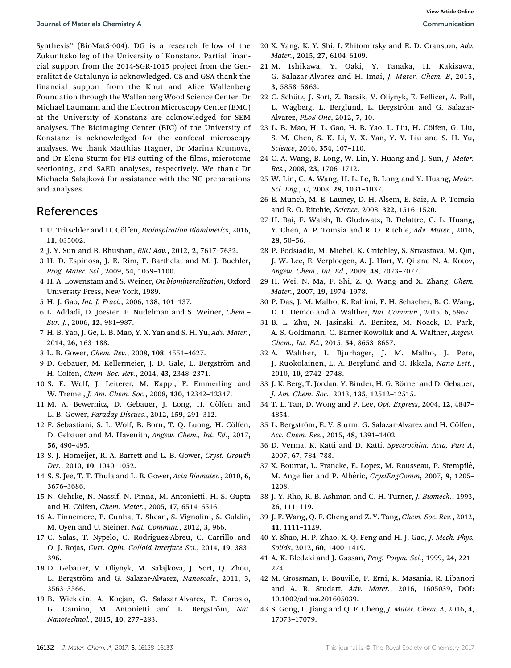Synthesis" (BioMatS-004). DG is a research fellow of the Zukunftskolleg of the University of Konstanz. Partial financial support from the 2014-SGR-1015 project from the Generalitat de Catalunya is acknowledged. CS and GSA thank the nancial support from the Knut and Alice Wallenberg Foundation through the Wallenberg Wood Science Center. Dr Michael Laumann and the Electron Microscopy Center (EMC) at the University of Konstanz are acknowledged for SEM analyses. The Bioimaging Center (BIC) of the University of Konstanz is acknowledged for the confocal microscopy analyses. We thank Matthias Hagner, Dr Marina Krumova, and Dr Elena Sturm for FIB cutting of the films, microtome sectioning, and SAED analyses, respectively. We thank Dr Michaela Salajková for assistance with the NC preparations and analyses.

### References

- 1 U. Tritschler and H. Cölfen, Bioinspiration Biomimetics, 2016, 11, 035002.
- 2 J. Y. Sun and B. Bhushan, RSC Adv., 2012, 2, 7617–7632.
- 3 H. D. Espinosa, J. E. Rim, F. Barthelat and M. J. Buehler, Prog. Mater. Sci., 2009, 54, 1059–1100.
- 4 H. A. Lowenstam and S. Weiner, On biomineralization, Oxford University Press, New York, 1989.
- 5 H. J. Gao, Int. J. Fract., 2006, 138, 101–137.
- 6 L. Addadi, D. Joester, F. Nudelman and S. Weiner, Chem.– Eur. J., 2006, 12, 981–987.
- 7 H. B. Yao, J. Ge, L. B. Mao, Y. X. Yan and S. H. Yu, Adv. Mater., 2014, 26, 163–188.
- 8 L. B. Gower, Chem. Rev., 2008, 108, 4551–4627.
- 9 D. Gebauer, M. Kellermeier, J. D. Gale, L. Bergström and H. Cölfen, Chem. Soc. Rev., 2014, 43, 2348-2371.
- 10 S. E. Wolf, J. Leiterer, M. Kappl, F. Emmerling and W. Tremel, J. Am. Chem. Soc., 2008, 130, 12342–12347.
- 11 M. A. Bewernitz, D. Gebauer, J. Long, H. Cölfen and L. B. Gower, Faraday Discuss., 2012, 159, 291–312.
- 12 F. Sebastiani, S. L. Wolf, B. Born, T. Q. Luong, H. Cölfen, D. Gebauer and M. Havenith, Angew. Chem., Int. Ed., 2017, 56, 490–495.
- 13 S. J. Homeijer, R. A. Barrett and L. B. Gower, Cryst. Growth Des., 2010, 10, 1040–1052.
- 14 S. S. Jee, T. T. Thula and L. B. Gower, Acta Biomater., 2010, 6, 3676–3686.
- 15 N. Gehrke, N. Nassif, N. Pinna, M. Antonietti, H. S. Gupta and H. Cölfen, Chem. Mater., 2005, 17, 6514-6516.
- 16 A. Finnemore, P. Cunha, T. Shean, S. Vignolini, S. Guldin, M. Oyen and U. Steiner, Nat. Commun., 2012, 3, 966.
- 17 C. Salas, T. Nypelo, C. Rodriguez-Abreu, C. Carrillo and O. J. Rojas, Curr. Opin. Colloid Interface Sci., 2014, 19, 383– 396.
- 18 D. Gebauer, V. Oliynyk, M. Salajkova, J. Sort, Q. Zhou, L. Bergström and G. Salazar-Alvarez, Nanoscale, 2011, 3, 3563–3566.
- 19 B. Wicklein, A. Kocjan, G. Salazar-Alvarez, F. Carosio, G. Camino, M. Antonietti and L. Bergström, Nat. Nanotechnol., 2015, 10, 277–283.
- 20 X. Yang, K. Y. Shi, I. Zhitomirsky and E. D. Cranston, Adv. Mater., 2015, 27, 6104–6109.
- 21 M. Ishikawa, Y. Oaki, Y. Tanaka, H. Kakisawa, G. Salazar-Alvarez and H. Imai, J. Mater. Chem. B, 2015, 3, 5858–5863.
- 22 C. Schutz, J. Sort, Z. Bacsik, V. Oliynyk, E. Pellicer, A. Fall, ¨ L. Wågberg, L. Berglund, L. Bergström and G. Salazar-Alvarez, PLoS One, 2012, 7, 10.
- 23 L. B. Mao, H. L. Gao, H. B. Yao, L. Liu, H. Cölfen, G. Liu, S. M. Chen, S. K. Li, Y. X. Yan, Y. Y. Liu and S. H. Yu, Science, 2016, 354, 107–110.
- 24 C. A. Wang, B. Long, W. Lin, Y. Huang and J. Sun, J. Mater. Res., 2008, 23, 1706–1712.
- 25 W. Lin, C. A. Wang, H. L. Le, B. Long and Y. Huang, Mater. Sci. Eng., C, 2008, 28, 1031–1037.
- 26 E. Munch, M. E. Launey, D. H. Alsem, E. Saiz, A. P. Tomsia and R. O. Ritchie, Science, 2008, 322, 1516–1520.
- 27 H. Bai, F. Walsh, B. Gludovatz, B. Delattre, C. L. Huang, Y. Chen, A. P. Tomsia and R. O. Ritchie, Adv. Mater., 2016, 28, 50–56.
- 28 P. Podsiadlo, M. Michel, K. Critchley, S. Srivastava, M. Qin, J. W. Lee, E. Verploegen, A. J. Hart, Y. Qi and N. A. Kotov, Angew. Chem., Int. Ed., 2009, 48, 7073–7077.
- 29 H. Wei, N. Ma, F. Shi, Z. Q. Wang and X. Zhang, Chem. Mater., 2007, 19, 1974–1978.
- 30 P. Das, J. M. Malho, K. Rahimi, F. H. Schacher, B. C. Wang, D. E. Demco and A. Walther, Nat. Commun., 2015, 6, 5967.
- 31 B. L. Zhu, N. Jasinski, A. Benitez, M. Noack, D. Park, A. S. Goldmann, C. Barner-Kowollik and A. Walther, Angew. Chem., Int. Ed., 2015, 54, 8653–8657.
- 32 A. Walther, I. Bjurhager, J. M. Malho, J. Pere, J. Ruokolainen, L. A. Berglund and O. Ikkala, Nano Lett., 2010, 10, 2742–2748.
- 33 J. K. Berg, T. Jordan, Y. Binder, H. G. Börner and D. Gebauer, J. Am. Chem. Soc., 2013, 135, 12512–12515.
- 34 T. L. Tan, D. Wong and P. Lee, Opt. Express, 2004, 12, 4847– 4854.
- 35 L. Bergström, E. V. Sturm, G. Salazar-Alvarez and H. Cölfen, Acc. Chem. Res., 2015, 48, 1391–1402.
- 36 D. Verma, K. Katti and D. Katti, Spectrochim. Acta, Part A, 2007, 67, 784–788.
- 37 X. Bourrat, L. Francke, E. Lopez, M. Rousseau, P. Stempflé, M. Angellier and P. Albéric, CrystEngComm, 2007, 9, 1205-1208.
- 38 J. Y. Rho, R. B. Ashman and C. H. Turner, J. Biomech., 1993, 26, 111–119.
- 39 J. F. Wang, Q. F. Cheng and Z. Y. Tang, Chem. Soc. Rev., 2012, 41, 1111–1129.
- 40 Y. Shao, H. P. Zhao, X. Q. Feng and H. J. Gao, J. Mech. Phys. Solids, 2012, 60, 1400–1419.
- 41 A. K. Bledzki and J. Gassan, Prog. Polym. Sci., 1999, 24, 221– 274.
- 42 M. Grossman, F. Bouville, F. Erni, K. Masania, R. Libanori and A. R. Studart, Adv. Mater., 2016, 1605039, DOI: 10.1002/adma.201605039.
- 43 S. Gong, L. Jiang and Q. F. Cheng, J. Mater. Chem. A, 2016, 4, 17073–17079.